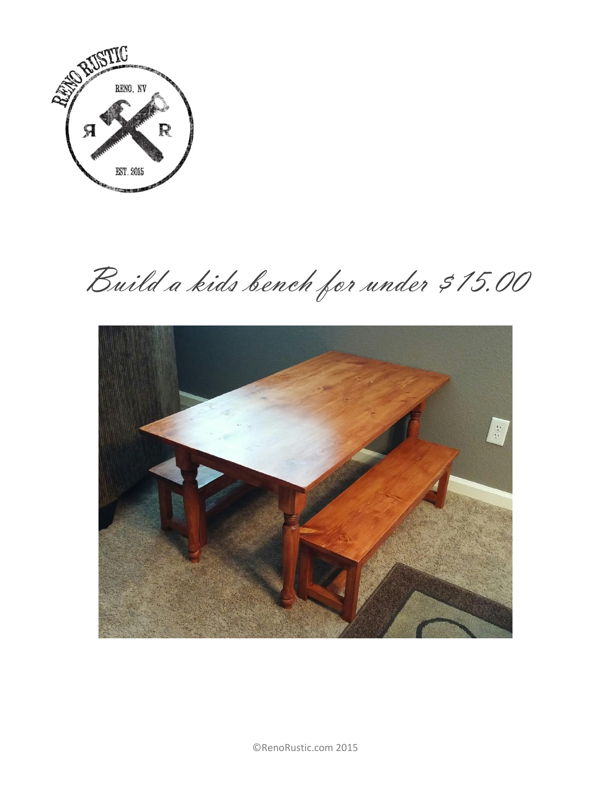

Build a kids bench for under \$15.00

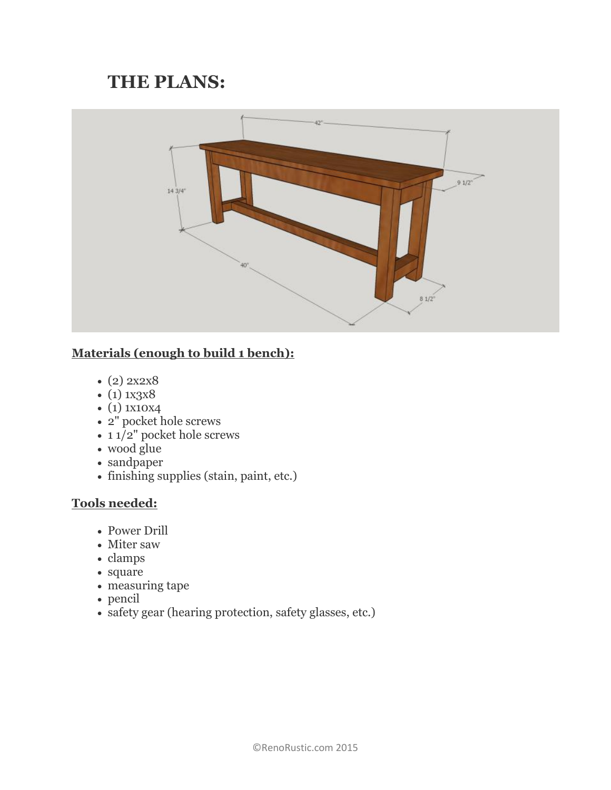# **THE PLANS:**



## **Materials (enough to build 1 bench):**

- $(2) 2x2x8$
- $\bullet$  (1) 1x3x8
- $\bullet$  (1) 1x10x4
- 2" pocket hole screws
- $\cdot$  11/2" pocket hole screws
- wood glue
- sandpaper
- finishing supplies (stain, paint, etc.)

## **Tools needed:**

- Power Drill
- Miter saw
- clamps
- square
- measuring tape
- pencil
- safety gear (hearing protection, safety glasses, etc.)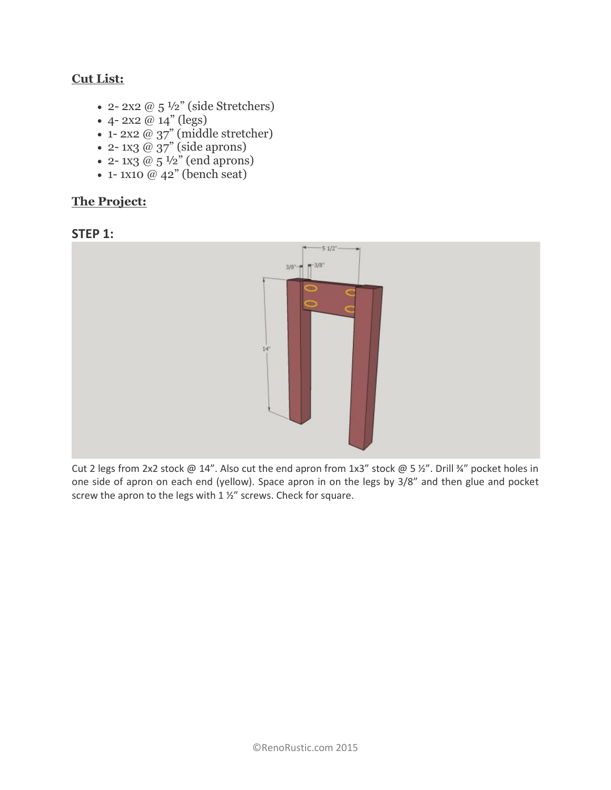## **Cut List:**

- 2- 2x2  $@$  5  $\frac{1}{2}$ " (side Stretchers)
- 4-2x2  $@14"$  (legs)
- 1- 2x2 @ 37" (middle stretcher)
- $\bullet$  2-1x3 @ 37" (side aprons)
- 2- 1x3  $@$  5  $\frac{1}{2}$ " (end aprons)
- $\bullet$  1-1x10 @ 42" (bench seat)

### **The Project:**





Cut 2 legs from 2x2 stock @ 14". Also cut the end apron from 1x3" stock @ 5 ½". Drill ¾" pocket holes in one side of apron on each end (yellow). Space apron in on the legs by 3/8" and then glue and pocket screw the apron to the legs with 1 ½" screws. Check for square.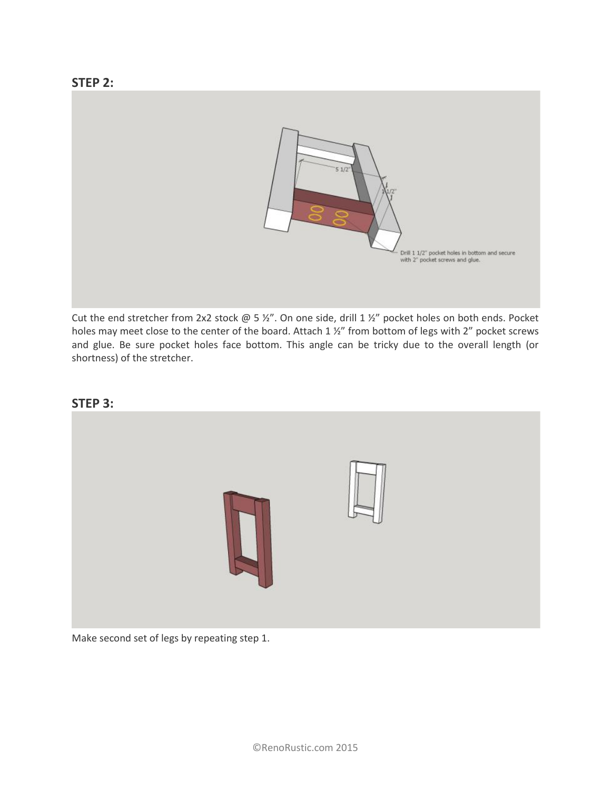

Cut the end stretcher from 2x2 stock @ 5 ½". On one side, drill 1 ½" pocket holes on both ends. Pocket holes may meet close to the center of the board. Attach 1 ½" from bottom of legs with 2" pocket screws and glue. Be sure pocket holes face bottom. This angle can be tricky due to the overall length (or shortness) of the stretcher.



Make second set of legs by repeating step 1.

#### **[STEP 3:](https://renorustic.files.wordpress.com/2015/05/step21.jpg)**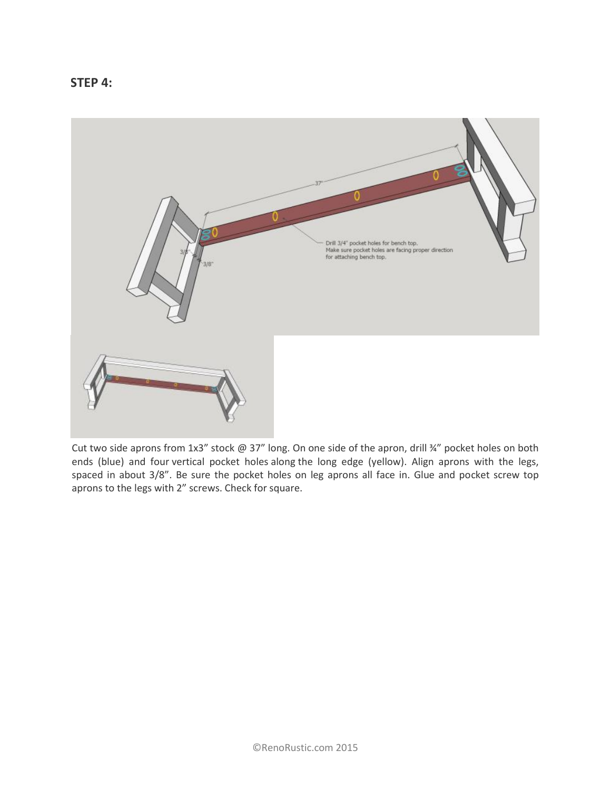



Cut two side aprons from 1x3" stock @ 37" long. On one side of the apron, drill ¾" pocket holes on both ends (blue) and four vertical pocket holes along the long edge (yellow). Align aprons with the legs, spaced in about 3/8". Be sure the pocket holes on leg aprons all face in. Glue and pocket screw top aprons to the legs with 2" screws. Check for square.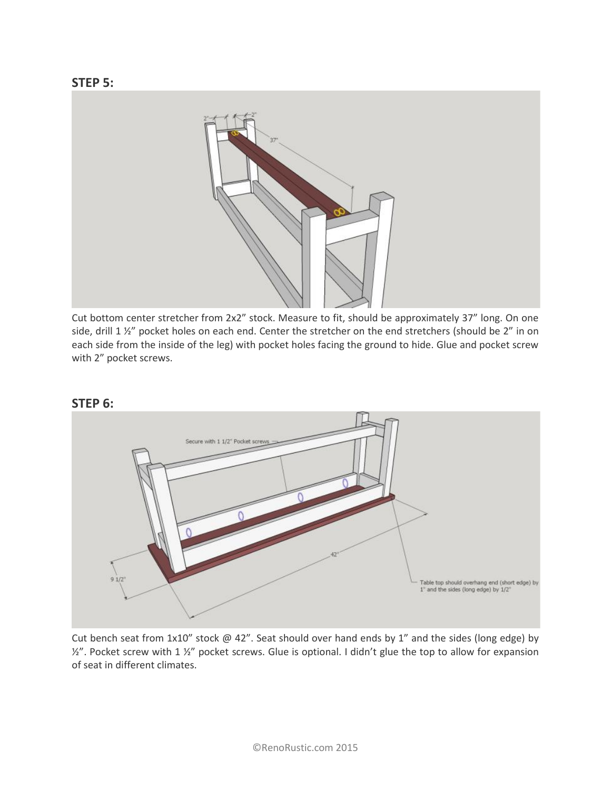

Cut bottom center stretcher from 2x2" stock. Measure to fit, should be approximately 37" long. On one side, drill 1 1/2" pocket holes on each end. Center the stretcher on the end stretchers (should be 2" in on each side from the inside of the leg) with pocket holes facing the ground to hide. Glue and pocket screw with 2" pocket screws.



Cut bench seat from 1x10" stock @ 42". Seat should over hand ends by 1" and the sides (long edge) by ½". Pocket screw with 1 ½" pocket screws. Glue is optional. I didn't glue the top to allow for expansion of seat in different climates.

#### **[STEP 6:](https://renorustic.files.wordpress.com/2015/05/step51.jpg)**